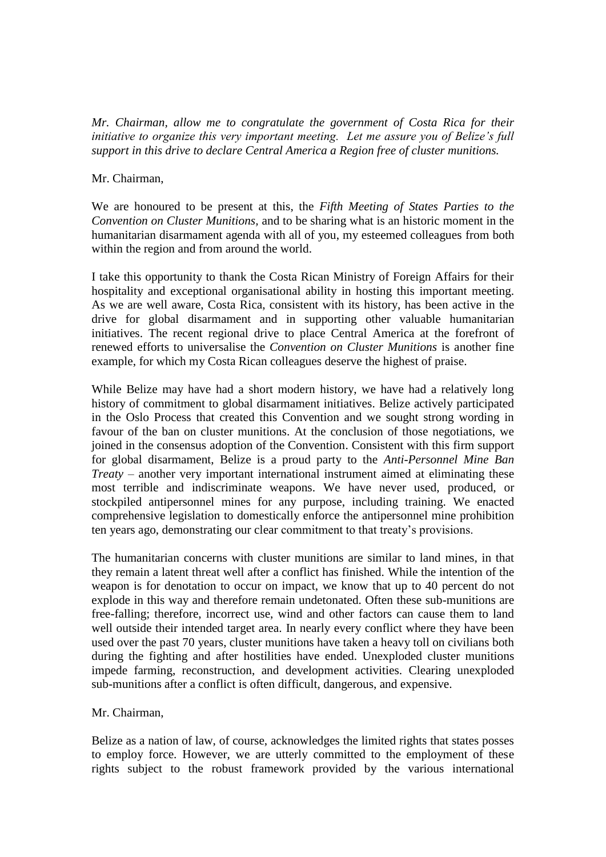*Mr. Chairman, allow me to congratulate the government of Costa Rica for their initiative to organize this very important meeting. Let me assure you of Belize's full support in this drive to declare Central America a Region free of cluster munitions.*

## Mr. Chairman,

We are honoured to be present at this, the *Fifth Meeting of States Parties to the Convention on Cluster Munitions,* and to be sharing what is an historic moment in the humanitarian disarmament agenda with all of you, my esteemed colleagues from both within the region and from around the world.

I take this opportunity to thank the Costa Rican Ministry of Foreign Affairs for their hospitality and exceptional organisational ability in hosting this important meeting. As we are well aware, Costa Rica, consistent with its history, has been active in the drive for global disarmament and in supporting other valuable humanitarian initiatives. The recent regional drive to place Central America at the forefront of renewed efforts to universalise the *Convention on Cluster Munitions* is another fine example, for which my Costa Rican colleagues deserve the highest of praise.

While Belize may have had a short modern history, we have had a relatively long history of commitment to global disarmament initiatives. Belize actively participated in the Oslo Process that created this Convention and we sought strong wording in favour of the ban on cluster munitions. At the conclusion of those negotiations, we joined in the consensus adoption of the Convention. Consistent with this firm support for global disarmament, Belize is a proud party to the *Anti-Personnel Mine Ban Treaty* – another very important international instrument aimed at eliminating these most terrible and indiscriminate weapons. We have never used, produced, or stockpiled antipersonnel mines for any purpose, including training. We enacted comprehensive legislation to domestically enforce the antipersonnel mine prohibition ten years ago, demonstrating our clear commitment to that treaty's provisions.

The humanitarian concerns with cluster munitions are similar to land mines, in that they remain a latent threat well after a conflict has finished. While the intention of the weapon is for denotation to occur on impact, we know that up to 40 percent do not explode in this way and therefore remain undetonated. Often these sub-munitions are free-falling; therefore, incorrect use, wind and other factors can cause them to land well outside their intended target area. In nearly every conflict where they have been used over the past 70 years, cluster munitions have taken a heavy toll on civilians both during the fighting and after hostilities have ended. Unexploded cluster munitions impede farming, reconstruction, and development activities. Clearing unexploded sub-munitions after a conflict is often difficult, dangerous, and expensive.

## Mr. Chairman,

Belize as a nation of law, of course, acknowledges the limited rights that states posses to employ force. However, we are utterly committed to the employment of these rights subject to the robust framework provided by the various international